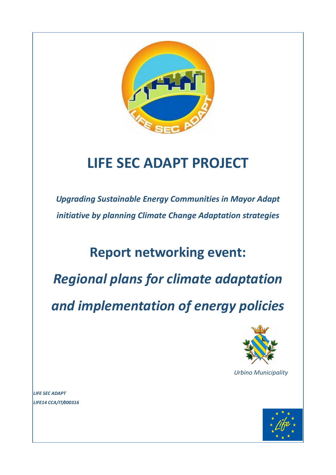

# **LIFE SEC ADAPT PROJECT**

*Upgrading Sustainable Energy Communities in Mayor Adapt initiative by planning Climate Change Adaptation strategies*

## **Report networking event:**

*Regional plans for climate adaptation* 

*and implementation of energy policies*



*Urbino Municipality*

*LIFE SEC ADAPT LIFE14 CCA/IT/000316*

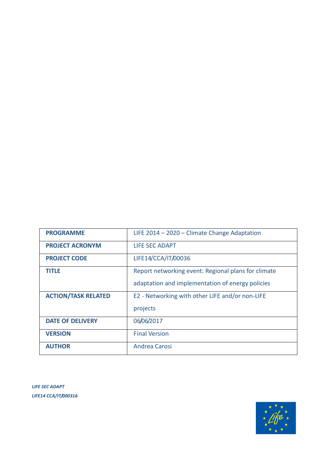| <b>PROGRAMME</b>           | LIFE $2014 - 2020 -$ Climate Change Adaptation      |
|----------------------------|-----------------------------------------------------|
| <b>PROJECT ACRONYM</b>     | LIFE SEC ADAPT                                      |
| <b>PROJECT CODE</b>        | LIFE14/CCA/IT/00036                                 |
| title                      | Report networking event: Regional plans for climate |
|                            | adaptation and implementation of energy policies    |
| <b>ACTION/TASK RELATED</b> | E2 - Networking with other LIFE and/or non-LIFE     |
|                            | projects                                            |
| <b>DATE OF DELIVERY</b>    | 06/06/2017                                          |
| <b>VERSION</b>             | <b>Final Version</b>                                |
| <b>AUTHOR</b>              | Andrea Carosi                                       |

*LIFE SEC ADAPT LIFE14 CCA/IT/000316*

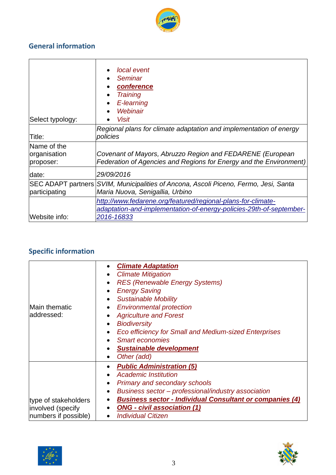

### **General information**

| Select typology:                           | local event<br>Seminar<br>$\bullet$<br>conference<br>$\bullet$<br><b>Training</b><br>$\bullet$<br>E-learning<br>$\bullet$<br>Webinair<br><b>Visit</b> |
|--------------------------------------------|-------------------------------------------------------------------------------------------------------------------------------------------------------|
| Title:                                     | Regional plans for climate adaptation and implementation of energy<br>policies                                                                        |
| Name of the<br>organisation<br>proposer:   | Covenant of Mayors, Abruzzo Region and FEDARENE (European<br>Federation of Agencies and Regions for Energy and the Environment)                       |
| date:                                      | 29/09/2016                                                                                                                                            |
| <b>SEC ADAPT partners</b><br>participating | SVIM, Municipalities of Ancona, Ascoli Piceno, Fermo, Jesi, Santa<br>Maria Nuova, Senigallia, Urbino                                                  |
| Website info:                              | http://www.fedarene.org/featured/regional-plans-for-climate-<br>adaptation-and-implementation-of-energy-policies-29th-of-september-<br>2016-16833     |

## **Specific information**

| <b>Main thematic</b><br>addressed:                                | <b>Climate Adaptation</b><br>$\bullet$<br><b>Climate Mitigation</b><br>$\bullet$<br><b>RES (Renewable Energy Systems)</b><br>$\bullet$<br><b>Energy Saving</b><br>$\bullet$<br><b>Sustainable Mobility</b><br>$\bullet$<br><b>Environmental protection</b><br>$\bullet$<br><b>Agriculture and Forest</b><br>$\bullet$<br><b>Biodiversity</b><br>$\bullet$<br><b>Eco efficiency for Small and Medium-sized Enterprises</b><br>$\bullet$<br><b>Smart economies</b><br>$\bullet$<br><b>Sustainable development</b><br>$\bullet$<br>Other (add)<br>$\bullet$ |
|-------------------------------------------------------------------|----------------------------------------------------------------------------------------------------------------------------------------------------------------------------------------------------------------------------------------------------------------------------------------------------------------------------------------------------------------------------------------------------------------------------------------------------------------------------------------------------------------------------------------------------------|
| type of stakeholders<br>involved (specify<br>numbers if possible) | <b>Public Administration (5)</b><br>$\bullet$<br><b>Academic Institution</b><br>$\bullet$<br><b>Primary and secondary schools</b><br>٠<br>Business sector - professional/industry association<br>$\bullet$<br><b>Business sector - Individual Consultant or companies (4)</b><br>$\bullet$<br><b>ONG - civil association (1)</b><br>$\bullet$<br><b>Individual Citizen</b><br>$\bullet$                                                                                                                                                                  |